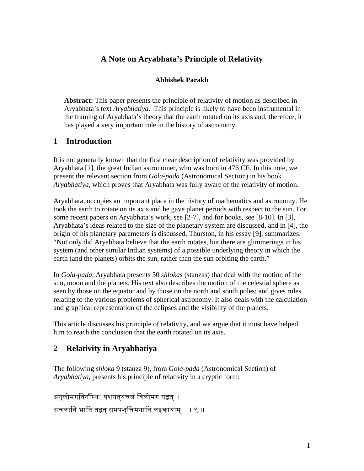## **A Note on Aryabhata's Principle of Relativity**

#### **Abhishek Parakh**

**Abstract:** This paper presents the principle of relativity of motion as described in Aryabhata's text *Aryabhatiya.* This principle is likely to have been instrumental in the framing of Aryabhata's theory that the earth rotated on its axis and, therefore, it has played a very important role in the history of astronomy.

### **1 Introduction**

It is not generally known that the first clear description of relativity was provided by Aryabhata [1], the great Indian astronomer, who was born in 476 CE. In this note, we present the relevant section from *Gola-pada* (Astronomical Section) in his book *Aryabhatiya*, which proves that Aryabhata was fully aware of the relativity of motion.

Aryabhata, occupies an important place in the history of mathematics and astronomy. He took the earth to rotate on its axis and he gave planet periods with respect to the sun. For some recent papers on Aryabhata's work, see [2-7], and for books, see [8-10]. In [3], Aryabhata's ideas related to the size of the planetary system are discussed, and in [4], the origin of his planetary parameters is discussed. Thurston, in his essay [9], summarizes: "Not only did Aryabhata believe that the earth rotates, but there are glimmerings in his system (and other similar Indian systems) of a possible underlying theory in which the earth (and the planets) orbits the sun, rather than the sun orbiting the earth."

In *Gola-pada,* Aryabhata presents 50 *shlokas* (stanzas) that deal with the motion of the sun, moon and the planets. His text also describes the motion of the celestial sphere as seen by those on the equator and by those on the north and south poles; and gives rules relating to the various problems of spherical astronomy. It also deals with the calculation and graphical representation of the eclipses and the visibility of the planets.

This article discusses his principle of relativity, and we argue that it must have helped him to reach the conclusion that the earth rotated on its axis.

### **2 Relativity in Aryabhatiya**

The following *shloka* 9 (stanza 9), from *Gola-pada* (Astronomical Section) of *Aryabhatiya,* presents his principle of relativity in a cryptic form:

```
अनुलोमगतिर्नौस्थ: पश्\overline{a}त्यचलं विलोमगं यद्वत् ।
अचलानि भानि तद्वत् समपशुचिमगानि लङ्कायाम् ।। ९ ।।
```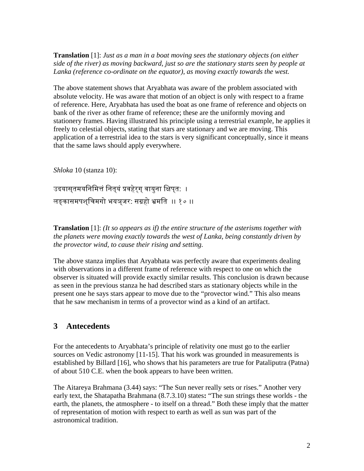**Translation** [1]: *Just as a man in a boat moving sees the stationary objects (on either side of the river) as moving backward, just so are the stationary starts seen by people at Lanka (reference co-ordinate on the equator), as moving exactly towards the west.*

The above statement shows that Aryabhata was aware of the problem associated with absolute velocity. He was aware that motion of an object is only with respect to a frame of reference. Here, Aryabhata has used the boat as one frame of reference and objects on bank of the river as other frame of reference; these are the uniformly moving and stationery frames. Having illustrated his principle using a terrestrial example, he applies it freely to celestial objects, stating that stars are stationary and we are moving. This application of a terrestrial idea to the stars is very significant conceptually, since it means that the same laws should apply everywhere.

*Shloka* 10 (stanza 10):

उदयासुतमयनिमित्तं नित्**यं प्रवहेर्**ग् वायुना क्षिपुत: । लङ्कासमपश्िचमगो भयञ्जर: सगर्हो भर्मित ।। १० ।।

**Translation** [1]: *(It so appears as if) the entire structure of the asterisms together with the planets were moving exactly towards the west of Lanka, being constantly driven by the provector wind, to cause their rising and setting.*

The above stanza implies that Aryabhata was perfectly aware that experiments dealing with observations in a different frame of reference with respect to one on which the observer is situated will provide exactly similar results. This conclusion is drawn because as seen in the previous stanza he had described stars as stationary objects while in the present one he says stars appear to move due to the "provector wind." This also means that he saw mechanism in terms of a provector wind as a kind of an artifact.

## **3 Antecedents**

For the antecedents to Aryabhata's principle of relativity one must go to the earlier sources on Vedic astronomy [11-15]. That his work was grounded in measurements is established by Billard [16], who shows that his parameters are true for Pataliputra (Patna) of about 510 C.E. when the book appears to have been written.

The Aitareya Brahmana (3.44) says: "The Sun never really sets or rises." Another very early text, the Shatapatha Brahmana (8.7.3.10) states**:** "The sun strings these worlds - the earth, the planets, the atmosphere - to itself on a thread." Both these imply that the matter of representation of motion with respect to earth as well as sun was part of the astronomical tradition.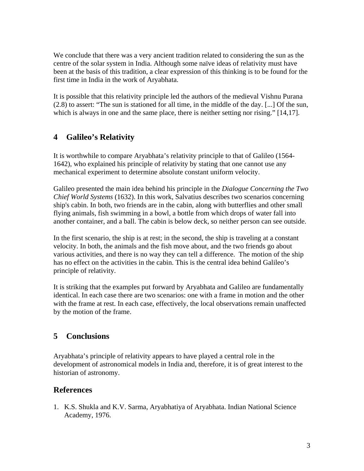We conclude that there was a very ancient tradition related to considering the sun as the centre of the solar system in India. Although some naïve ideas of relativity must have been at the basis of this tradition, a clear expression of this thinking is to be found for the first time in India in the work of Aryabhata.

It is possible that this relativity principle led the authors of the medieval Vishnu Purana (2.8) to assert: "The sun is stationed for all time, in the middle of the day. [...] Of the sun, which is always in one and the same place, there is neither setting nor rising." [14,17].

# **4 Galileo's Relativity**

It is worthwhile to compare Aryabhata's relativity principle to that of Galileo (1564- 1642), who explained his principle of relativity by stating that one cannot use any mechanical experiment to determine absolute constant uniform velocity.

Galileo presented the main idea behind his principle in the *Dialogue Concerning the Two Chief World Systems* (1632). In this work, Salvatius describes two scenarios concerning ship's cabin. In both, two friends are in the cabin, along with butterflies and other small flying animals, fish swimming in a bowl, a bottle from which drops of water fall into another container, and a ball. The cabin is below deck, so neither person can see outside.

In the first scenario, the ship is at rest; in the second, the ship is traveling at a constant velocity. In both, the animals and the fish move about, and the two friends go about various activities, and there is no way they can tell a difference. The motion of the ship has no effect on the activities in the cabin. This is the central idea behind Galileo's principle of relativity.

It is striking that the examples put forward by Aryabhata and Galileo are fundamentally identical. In each case there are two scenarios: one with a frame in motion and the other with the frame at rest. In each case, effectively, the local observations remain unaffected by the motion of the frame.

## **5 Conclusions**

Aryabhata's principle of relativity appears to have played a central role in the development of astronomical models in India and, therefore, it is of great interest to the historian of astronomy.

### **References**

1. K.S. Shukla and K.V. Sarma, Aryabhatiya of Aryabhata. Indian National Science Academy, 1976.